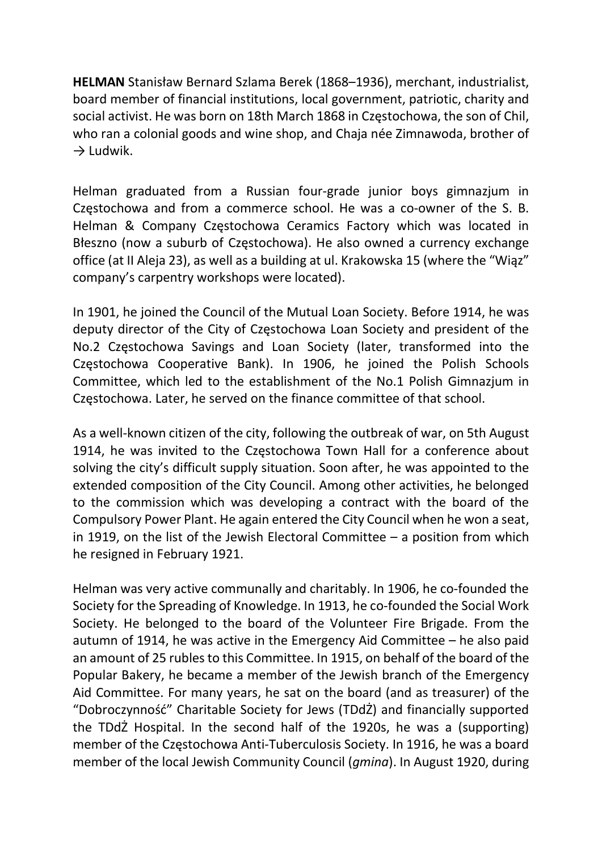HELMAN Stanisław Bernard Szlama Berek (1868–1936), merchant, industrialist, board member of financial institutions, local government, patriotic, charity and social activist. He was born on 18th March 1868 in Częstochowa, the son of Chil, who ran a colonial goods and wine shop, and Chaja née Zimnawoda, brother of  $\rightarrow$  Ludwik.

Helman graduated from a Russian four-grade junior boys gimnazjum in Częstochowa and from a commerce school. He was a co-owner of the S. B. Helman & Company Częstochowa Ceramics Factory which was located in Błeszno (now a suburb of Częstochowa). He also owned a currency exchange office (at II Aleja 23), as well as a building at ul. Krakowska 15 (where the "Wiąz" company's carpentry workshops were located).

In 1901, he joined the Council of the Mutual Loan Society. Before 1914, he was deputy director of the City of Częstochowa Loan Society and president of the No.2 Częstochowa Savings and Loan Society (later, transformed into the Częstochowa Cooperative Bank). In 1906, he joined the Polish Schools Committee, which led to the establishment of the No.1 Polish Gimnazjum in Częstochowa. Later, he served on the finance committee of that school.

As a well-known citizen of the city, following the outbreak of war, on 5th August 1914, he was invited to the Częstochowa Town Hall for a conference about solving the city's difficult supply situation. Soon after, he was appointed to the extended composition of the City Council. Among other activities, he belonged to the commission which was developing a contract with the board of the Compulsory Power Plant. He again entered the City Council when he won a seat, in 1919, on the list of the Jewish Electoral Committee  $-$  a position from which he resigned in February 1921.

Helman was very active communally and charitably. In 1906, he co-founded the Society for the Spreading of Knowledge. In 1913, he co-founded the Social Work Society. He belonged to the board of the Volunteer Fire Brigade. From the autumn of 1914, he was active in the Emergency Aid Committee – he also paid an amount of 25 rubles to this Committee. In 1915, on behalf of the board of the Popular Bakery, he became a member of the Jewish branch of the Emergency Aid Committee. For many years, he sat on the board (and as treasurer) of the "Dobroczynność" Charitable Society for Jews (TDdŻ) and financially supported the TDdŻ Hospital. In the second half of the 1920s, he was a (supporting) member of the Częstochowa Anti-Tuberculosis Society. In 1916, he was a board member of the local Jewish Community Council (*gmina*). In August 1920, during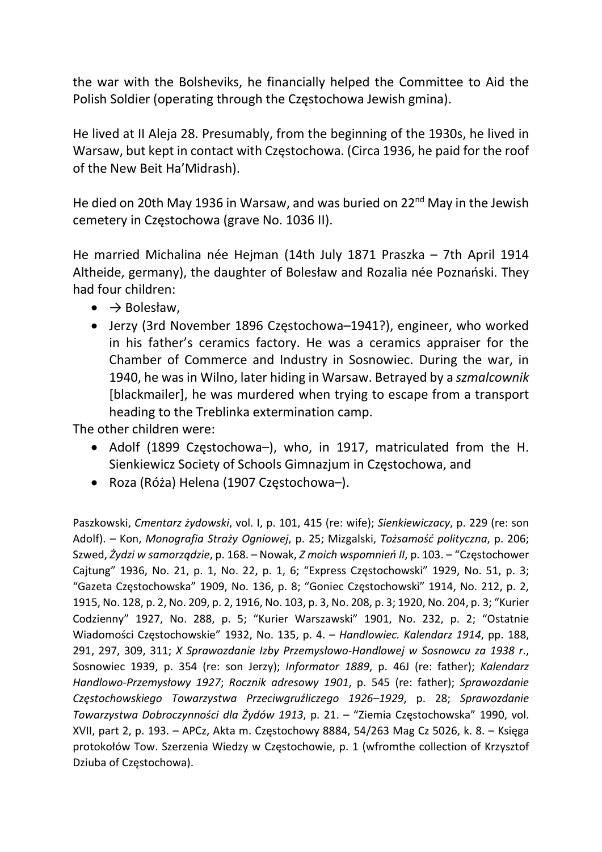the war with the Bolsheviks, he financially helped the Committee to Aid the Polish Soldier (operating through the Częstochowa Jewish gmina).

He lived at II Aleja 28. Presumably, from the beginning of the 1930s, he lived in Warsaw, but kept in contact with Częstochowa. (Circa 1936, he paid for the roof of the New Beit Ha'Midrash).

He died on 20th May 1936 in Warsaw, and was buried on 22<sup>nd</sup> May in the Jewish cemetery in Częstochowa (grave No. 1036 II).

He married Michalina née Hejman (14th July 1871 Praszka – 7th April 1914 Altheide, germany), the daughter of Bolesław and Rozalia née Poznański. They had four children:

- $\bullet \quad \Rightarrow$  Bolesław,
- Jerzy (3rd November 1896 Częstochowa–1941?), engineer, who worked in his father's ceramics factory. He was a ceramics appraiser for the Chamber of Commerce and Industry in Sosnowiec. During the war, in 1940, he was in Wilno, later hiding in Warsaw. Betrayed by a szmalcownik [blackmailer], he was murdered when trying to escape from a transport heading to the Treblinka extermination camp.

The other children were:

- Adolf (1899 Częstochowa–), who, in 1917, matriculated from the H. Sienkiewicz Society of Schools Gimnazjum in Częstochowa, and
- Roza (Róża) Helena (1907 Częstochowa–).

Paszkowski, Cmentarz żydowski, vol. I, p. 101, 415 (re: wife); Sienkiewiczacy, p. 229 (re: son Adolf). – Kon, Monografia Straży Ogniowej, p. 25; Mizgalski, Tożsamość polityczna, p. 206; Szwed, Żydzi w samorządzie, p. 168. – Nowak, Z moich wspomnień II, p. 103. – "Częstochower Cajtung" 1936, No. 21, p. 1, No. 22, p. 1, 6; "Express Częstochowski" 1929, No. 51, p. 3; "Gazeta Częstochowska" 1909, No. 136, p. 8; "Goniec Częstochowski" 1914, No. 212, p. 2, 1915, No. 128, p. 2, No. 209, p. 2, 1916, No. 103, p. 3, No. 208, p. 3; 1920, No. 204, p. 3; "Kurier Codzienny" 1927, No. 288, p. 5; "Kurier Warszawski" 1901, No. 232, p. 2; "Ostatnie Wiadomości Częstochowskie" 1932, No. 135, p. 4. – Handlowiec. Kalendarz 1914, pp. 188, 291, 297, 309, 311; X Sprawozdanie Izby Przemysłowo-Handlowej w Sosnowcu za 1938 r., Sosnowiec 1939, p. 354 (re: son Jerzy); Informator 1889, p. 46J (re: father); Kalendarz Handlowo-Przemysłowy 1927; Rocznik adresowy 1901, p. 545 (re: father); Sprawozdanie Częstochowskiego Towarzystwa Przeciwgruźliczego 1926–1929, p. 28; Sprawozdanie Towarzystwa Dobroczynności dla Żydów 1913, p. 21. – "Ziemia Częstochowska" 1990, vol. XVII, part 2, p. 193. – APCz, Akta m. Częstochowy 8884, 54/263 Mag Cz 5026, k. 8. – Księga protokołów Tow. Szerzenia Wiedzy w Częstochowie, p. 1 (wfromthe collection of Krzysztof Dziuba of Częstochowa).